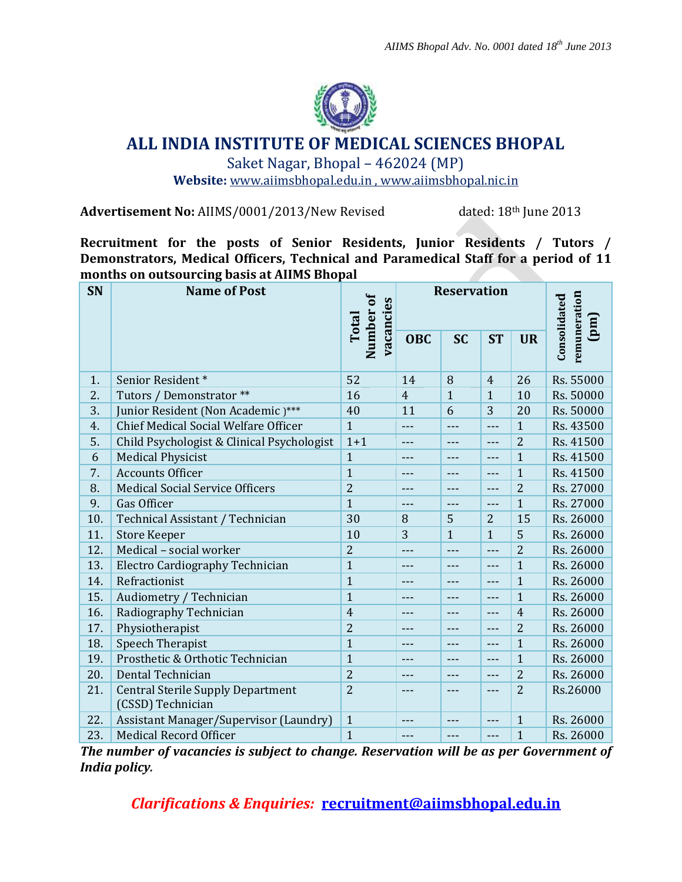

## **ALL INDIA INSTITUTE OF MEDICAL SCIENCES BHOPAL**

Saket Nagar, Bhopal – 462024 (MP)

**Website:** [www.aiimsbhopal.edu.in](http://www.aiimsbhopal.edu.in/) , [www.aiimsbhopal.nic.in](file:///C:/Users/Akanksha/Desktop/recruitment/www.aiimsbhopal.nic.in)

Advertisement No: AIIMS/0001/2013/New Revised dated: 18<sup>th</sup> June 2013

**Recruitment for the posts of Senior Residents, Junior Residents / Tutors / Demonstrators, Medical Officers, Technical and Paramedical Staff for a period of 11 months on outsourcing basis at AIIMS Bhopal**

| <b>SN</b> | <b>Name of Post</b>                                           | Number of<br>vacancies<br>Total | <b>Reservation</b> |              | remuneration<br>Consolidated<br>(mq) |                |           |
|-----------|---------------------------------------------------------------|---------------------------------|--------------------|--------------|--------------------------------------|----------------|-----------|
|           |                                                               |                                 | <b>OBC</b>         | <b>SC</b>    | <b>ST</b>                            | <b>UR</b>      |           |
| 1.        | Senior Resident*                                              | 52                              | 14                 | 8            | $\overline{4}$                       | 26             | Rs. 55000 |
| 2.        | Tutors / Demonstrator **                                      | 16                              | $\overline{4}$     | $\mathbf{1}$ | $\mathbf{1}$                         | 10             | Rs. 50000 |
| 3.        | Junior Resident (Non Academic)***                             | 40                              | 11                 | 6            | 3                                    | 20             | Rs. 50000 |
| 4.        | Chief Medical Social Welfare Officer                          | $\mathbf{1}$                    | ---                | ---          | ---                                  | $\mathbf{1}$   | Rs. 43500 |
| 5.        | Child Psychologist & Clinical Psychologist                    | $1 + 1$                         | ---                | ---          | ---                                  | $\overline{2}$ | Rs. 41500 |
| 6         | <b>Medical Physicist</b>                                      | $\mathbf{1}$                    | ---                | ---          | ---                                  | $\mathbf{1}$   | Rs. 41500 |
| 7.        | <b>Accounts Officer</b>                                       | $\mathbf{1}$                    | ---                | ---          | $---$                                | $\mathbf{1}$   | Rs. 41500 |
| 8.        | <b>Medical Social Service Officers</b>                        | $\overline{2}$                  | ---                | ---          | ---                                  | $\overline{2}$ | Rs. 27000 |
| 9.        | Gas Officer                                                   | $\mathbf{1}$                    | ---                | ---          | $---$                                | $\mathbf{1}$   | Rs. 27000 |
| 10.       | Technical Assistant / Technician                              | 30                              | 8                  | 5            | $\overline{2}$                       | 15             | Rs. 26000 |
| 11.       | <b>Store Keeper</b>                                           | 10                              | 3                  | $\mathbf{1}$ | $\mathbf{1}$                         | 5              | Rs. 26000 |
| 12.       | Medical - social worker                                       | $\overline{2}$                  | ---                | ---          | $---$                                | $\overline{2}$ | Rs. 26000 |
| 13.       | Electro Cardiography Technician                               | $\mathbf{1}$                    | ---                | ---          | ---                                  | $\mathbf{1}$   | Rs. 26000 |
| 14.       | Refractionist                                                 | $\mathbf{1}$                    |                    | ---          | $---$                                | $\mathbf{1}$   | Rs. 26000 |
| 15.       | Audiometry / Technician                                       | $\mathbf{1}$                    | ---                | ---          | $---$                                | $\mathbf{1}$   | Rs. 26000 |
| 16.       | Radiography Technician                                        | $\overline{4}$                  | ---                | ---          | ---                                  | $\overline{4}$ | Rs. 26000 |
| 17.       | Physiotherapist                                               | $\overline{2}$                  | $---$              | ---          | $---$                                | $\overline{2}$ | Rs. 26000 |
| 18.       | <b>Speech Therapist</b>                                       | $\mathbf{1}$                    | ---                | ---          | $---$                                | $\mathbf{1}$   | Rs. 26000 |
| 19.       | Prosthetic & Orthotic Technician                              | $\mathbf{1}$                    | ---                | ---          | $---$                                | $\mathbf{1}$   | Rs. 26000 |
| 20.       | Dental Technician                                             | $\overline{2}$                  | ---                | ---          | ---                                  | $\overline{2}$ | Rs. 26000 |
| 21.       | <b>Central Sterile Supply Department</b><br>(CSSD) Technician | $\overline{2}$                  | $---$              | $---$        | ---                                  | $\overline{2}$ | Rs.26000  |
| 22.       | Assistant Manager/Supervisor (Laundry)                        | $\mathbf{1}$                    | ---                | ---          | $---$                                | $\mathbf{1}$   | Rs. 26000 |
| 23.       | <b>Medical Record Officer</b>                                 | $\mathbf{1}$                    | ---                | ---          | ---                                  | $\mathbf{1}$   | Rs. 26000 |

*The number of vacancies is subject to change. Reservation will be as per Government of India policy.*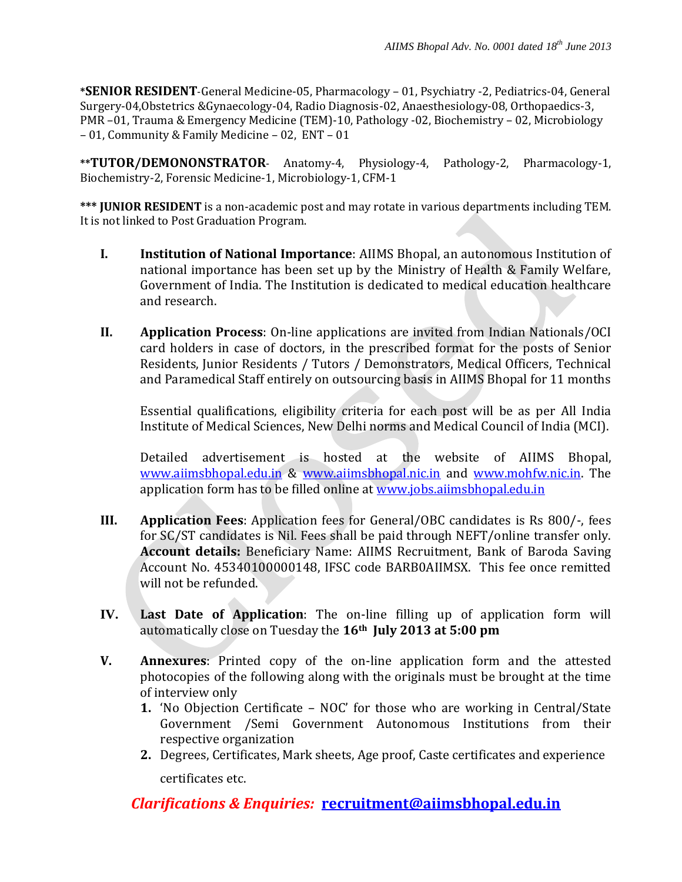**\*SENIOR RESIDENT**-General Medicine-05, Pharmacology – 01, Psychiatry -2, Pediatrics-04, General Surgery-04,Obstetrics &Gynaecology-04, Radio Diagnosis-02, Anaesthesiology-08, Orthopaedics-3, PMR –01, Trauma & Emergency Medicine (TEM)-10, Pathology -02, Biochemistry – 02, Microbiology – 01, Community & Family Medicine – 02, ENT – 01

**\*\*TUTOR/DEMONONSTRATOR**- Anatomy-4, Physiology-4, Pathology-2, Pharmacology-1, Biochemistry-2, Forensic Medicine-1, Microbiology-1, CFM-1

**\*\*\* JUNIOR RESIDENT** is a non-academic post and may rotate in various departments including TEM. It is not linked to Post Graduation Program.

- **I. Institution of National Importance**: AIIMS Bhopal, an autonomous Institution of national importance has been set up by the Ministry of Health & Family Welfare, Government of India. The Institution is dedicated to medical education healthcare and research.
- **II. Application Process**: On-line applications are invited from Indian Nationals/OCI card holders in case of doctors, in the prescribed format for the posts of Senior Residents, Junior Residents / Tutors / Demonstrators, Medical Officers, Technical and Paramedical Staff entirely on outsourcing basis in AIIMS Bhopal for 11 months

Essential qualifications, eligibility criteria for each post will be as per All India Institute of Medical Sciences, New Delhi norms and Medical Council of India (MCI).

Detailed advertisement is hosted at the website of AIIMS Bhopal, [www.aiimsbhopal.edu.in](http://www.aiimsbhopal.edu.in/) & [www.aiimsbhopal.nic.in](http://www.aiimsbhopal.nic.in/) and [www.mohfw.nic.in.](http://www.mohfw.nic.in/) The application form has to be filled online at [www.jobs.aiimsbhopal.edu.in](http://www.jobs.aiimsbhopal.edu.in/)

- **III. Application Fees**: Application fees for General/OBC candidates is Rs 800/-, fees for SC/ST candidates is Nil. Fees shall be paid through NEFT/online transfer only. **Account details:** Beneficiary Name: AIIMS Recruitment, Bank of Baroda Saving Account No. 45340100000148, IFSC code BARB0AIIMSX. This fee once remitted will not be refunded.
- **IV. Last Date of Application**: The on-line filling up of application form will automatically close on Tuesday the **16th July 2013 at 5:00 pm**
- **V. Annexures**: Printed copy of the on-line application form and the attested photocopies of the following along with the originals must be brought at the time of interview only
	- **1.** 'No Objection Certificate NOC' for those who are working in Central/State Government /Semi Government Autonomous Institutions from their respective organization
	- **2.** Degrees, Certificates, Mark sheets, Age proof, Caste certificates and experience certificates etc.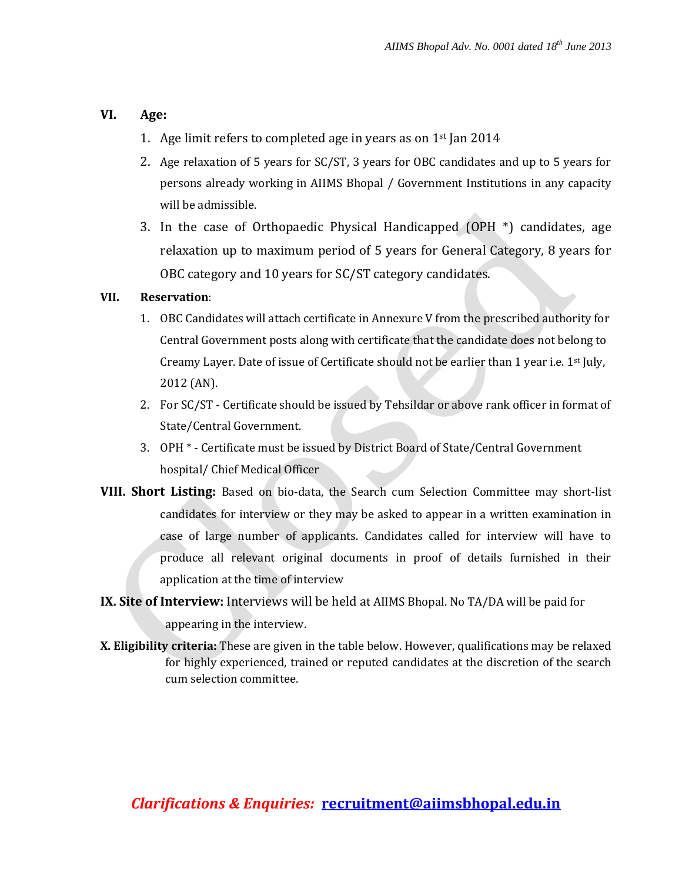### **VI. Age:**

- 1. Age limit refers to completed age in years as on  $1<sup>st</sup>$  Jan 2014
- 2. Age relaxation of 5 years for SC/ST, 3 years for OBC candidates and up to 5 years for persons already working in AIIMS Bhopal / Government Institutions in any capacity will be admissible.
- 3. In the case of Orthopaedic Physical Handicapped (OPH \*) candidates, age relaxation up to maximum period of 5 years for General Category, 8 years for OBC category and 10 years for SC/ST category candidates.

### **VII. Reservation**:

- 1. OBC Candidates will attach certificate in Annexure V from the prescribed authority for Central Government posts along with certificate that the candidate does not belong to Creamy Layer. Date of issue of Certificate should not be earlier than 1 year i.e. 1<sup>st</sup> July, 2012 (AN).
- 2. For SC/ST Certificate should be issued by Tehsildar or above rank officer in format of State/Central Government.
- 3. OPH \* Certificate must be issued by District Board of State/Central Government hospital/ Chief Medical Officer
- **VIII. Short Listing:** Based on bio-data, the Search cum Selection Committee may short-list candidates for interview or they may be asked to appear in a written examination in case of large number of applicants. Candidates called for interview will have to produce all relevant original documents in proof of details furnished in their application at the time of interview

# **IX. Site of Interview:** Interviews will be held at AIIMS Bhopal. No TA/DA will be paid for

appearing in the interview.

**X. Eligibility criteria:** These are given in the table below. However, qualifications may be relaxed for highly experienced, trained or reputed candidates at the discretion of the search cum selection committee.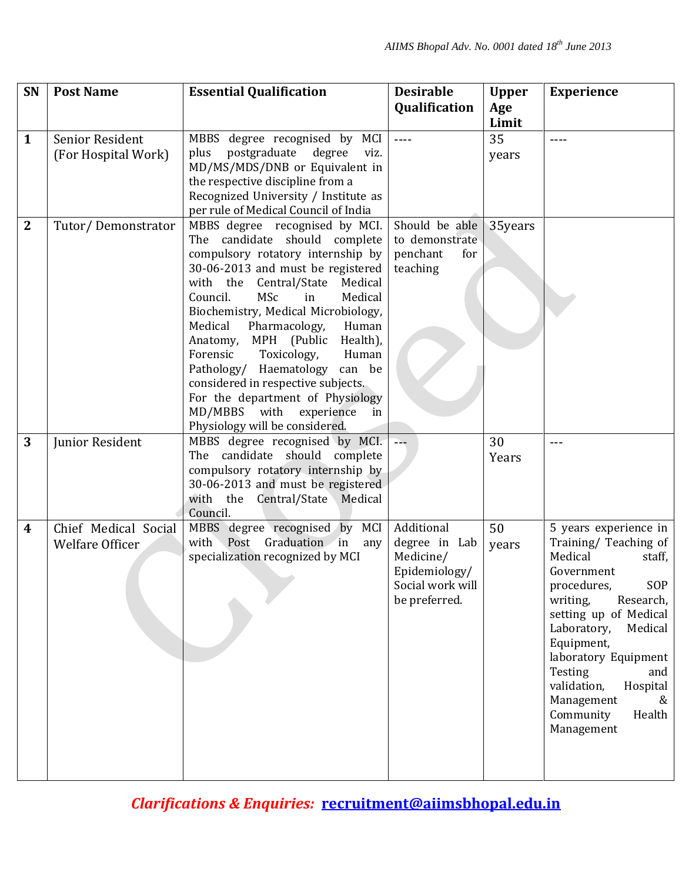| SN           | <b>Post Name</b>     | <b>Essential Qualification</b>                                               | <b>Desirable</b> | <b>Upper</b> | <b>Experience</b>                    |
|--------------|----------------------|------------------------------------------------------------------------------|------------------|--------------|--------------------------------------|
|              |                      |                                                                              | Qualification    | Age          |                                      |
|              |                      |                                                                              |                  | Limit        |                                      |
| $\mathbf{1}$ | Senior Resident      | MBBS degree recognised by MCI                                                | $---$            | 35           | $---$                                |
|              | (For Hospital Work)  | postgraduate degree<br>plus<br>viz.                                          |                  | years        |                                      |
|              |                      | MD/MS/MDS/DNB or Equivalent in                                               |                  |              |                                      |
|              |                      | the respective discipline from a                                             |                  |              |                                      |
|              |                      | Recognized University / Institute as<br>per rule of Medical Council of India |                  |              |                                      |
| $\mathbf{2}$ |                      | MBBS degree recognised by MCI.                                               | Should be able   | 35years      |                                      |
|              | Tutor/Demonstrator   | The candidate should complete                                                | to demonstrate   |              |                                      |
|              |                      | compulsory rotatory internship by                                            | penchant<br>for  |              |                                      |
|              |                      | 30-06-2013 and must be registered                                            | teaching         |              |                                      |
|              |                      | with the<br>Central/State<br>Medical                                         |                  |              |                                      |
|              |                      | Council.<br><b>MSc</b><br>Medical<br>in                                      |                  |              |                                      |
|              |                      | Biochemistry, Medical Microbiology,                                          |                  |              |                                      |
|              |                      | Medical<br>Pharmacology,<br>Human                                            |                  |              |                                      |
|              |                      | Anatomy, MPH (Public<br>Health),                                             |                  |              |                                      |
|              |                      | Forensic<br>Toxicology,<br>Human                                             |                  |              |                                      |
|              |                      | Pathology/ Haematology can be                                                |                  |              |                                      |
|              |                      | considered in respective subjects.                                           |                  |              |                                      |
|              |                      | For the department of Physiology                                             |                  |              |                                      |
|              |                      | MD/MBBS with<br>experience<br>in<br>Physiology will be considered.           |                  |              |                                      |
| 3            | Junior Resident      | MBBS degree recognised by MCI.                                               | $\rightarrow -$  | 30           | $---$                                |
|              |                      | The candidate should complete                                                |                  | Years        |                                      |
|              |                      | compulsory rotatory internship by                                            |                  |              |                                      |
|              |                      | 30-06-2013 and must be registered                                            |                  |              |                                      |
|              |                      | with the Central/State Medical                                               |                  |              |                                      |
|              |                      | Council.                                                                     |                  |              |                                      |
| 4            | Chief Medical Social | MBBS degree recognised by MCI                                                | Additional       | 50           | 5 years experience in                |
|              | Welfare Officer      | Graduation in<br>with Post<br>any                                            | degree in Lab    | years        | Training/ Teaching of                |
|              |                      | specialization recognized by MCI                                             | Medicine/        |              | Medical<br>staff,                    |
|              |                      |                                                                              | Epidemiology/    |              | Government                           |
|              |                      |                                                                              | Social work will |              | procedures,<br>SOP                   |
|              |                      |                                                                              | be preferred.    |              | writing,<br>Research,                |
|              |                      |                                                                              |                  |              | setting up of Medical                |
|              |                      |                                                                              |                  |              | Laboratory,<br>Medical<br>Equipment, |
|              |                      |                                                                              |                  |              | laboratory Equipment                 |
|              |                      |                                                                              |                  |              | Testing<br>and                       |
|              |                      |                                                                              |                  |              | validation,<br>Hospital              |
|              |                      |                                                                              |                  |              | Management<br>&                      |
|              |                      |                                                                              |                  |              | Health<br>Community                  |
|              |                      |                                                                              |                  |              | Management                           |
|              |                      |                                                                              |                  |              |                                      |
|              |                      |                                                                              |                  |              |                                      |
|              |                      |                                                                              |                  |              |                                      |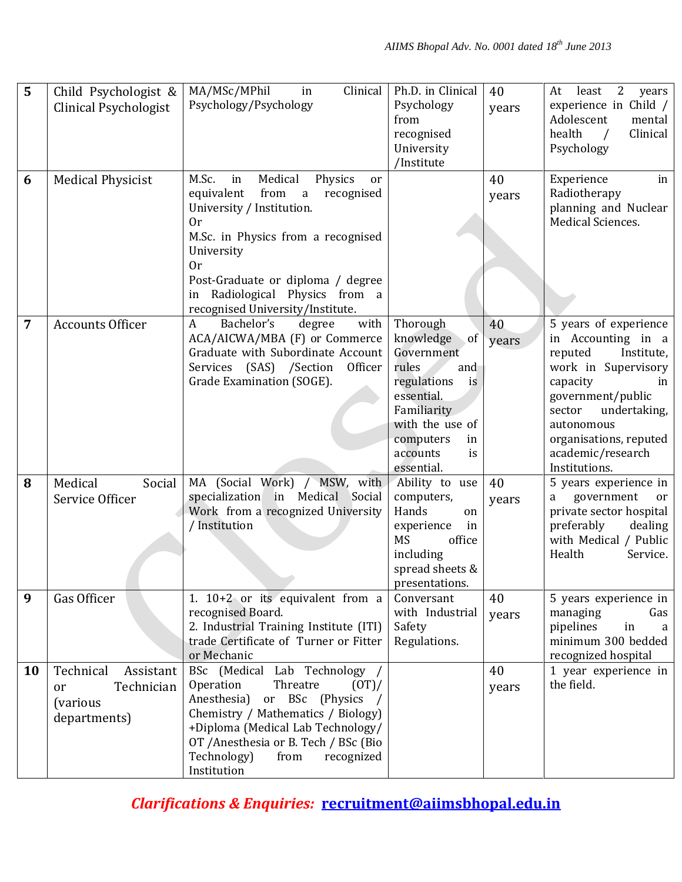| 5  | Child Psychologist &<br>Clinical Psychologist                                 | MA/MSc/MPhil<br>Clinical<br>in<br>Psychology/Psychology                                                                                                                                                                                                                                                | Ph.D. in Clinical<br>Psychology<br>from<br>recognised<br>University<br>/Institute                                                                                                 | 40<br>years | least<br>2<br>At<br>years<br>experience in Child /<br>Adolescent<br>mental<br>health<br>Clinical<br>$\sqrt{ }$<br>Psychology                                                                                                               |
|----|-------------------------------------------------------------------------------|--------------------------------------------------------------------------------------------------------------------------------------------------------------------------------------------------------------------------------------------------------------------------------------------------------|-----------------------------------------------------------------------------------------------------------------------------------------------------------------------------------|-------------|--------------------------------------------------------------------------------------------------------------------------------------------------------------------------------------------------------------------------------------------|
| 6  | <b>Medical Physicist</b>                                                      | Medical<br>M.Sc.<br>Physics<br>in<br>or<br>from<br>equivalent<br>recognised<br>$\mathbf{a}$<br>University / Institution.<br>0r<br>M.Sc. in Physics from a recognised<br>University<br>0r<br>Post-Graduate or diploma / degree<br>Radiological Physics from a<br>in<br>recognised University/Institute. |                                                                                                                                                                                   | 40<br>years | Experience<br>in<br>Radiotherapy<br>planning and Nuclear<br>Medical Sciences.                                                                                                                                                              |
| 7  | <b>Accounts Officer</b>                                                       | Bachelor's<br>with<br>A<br>degree<br>ACA/AICWA/MBA (F) or Commerce<br>Graduate with Subordinate Account<br>Services (SAS) /Section<br>Officer<br>Grade Examination (SOGE).                                                                                                                             | Thorough<br>knowledge<br>of<br>Government<br>rules<br>and<br>regulations<br>is<br>essential.<br>Familiarity<br>with the use of<br>computers<br>in<br>accounts<br>is<br>essential. | 40<br>years | 5 years of experience<br>in Accounting in a<br>reputed<br>Institute,<br>work in Supervisory<br>capacity<br>in<br>government/public<br>sector<br>undertaking,<br>autonomous<br>organisations, reputed<br>academic/research<br>Institutions. |
| 8  | Medical<br>Social<br>Service Officer                                          | MA (Social Work) / MSW, with<br>specialization in Medical Social<br>Work from a recognized University<br>/ Institution                                                                                                                                                                                 | Ability to use<br>computers,<br>Hands<br>on<br>in<br>experience<br><b>MS</b><br>office<br>including<br>spread sheets &<br>presentations.                                          | 40<br>years | 5 years experience in<br>government<br>or<br>a<br>private sector hospital<br>preferably<br>dealing<br>with Medical / Public<br>Health<br>Service.                                                                                          |
| 9  | Gas Officer                                                                   | 1. $10+2$ or its equivalent from a<br>recognised Board.<br>2. Industrial Training Institute (ITI)<br>trade Certificate of Turner or Fitter<br>or Mechanic                                                                                                                                              | Conversant<br>with Industrial<br>Safety<br>Regulations.                                                                                                                           | 40<br>years | 5 years experience in<br>managing<br>Gas<br>pipelines<br>in<br>a<br>minimum 300 bedded<br>recognized hospital                                                                                                                              |
| 10 | Technical<br>Assistant<br>Technician<br>or<br><i>(various</i><br>departments) | BSc (Medical Lab Technology /<br>Operation<br>Threatre<br>$(0T)$ /<br>Anesthesia)<br>or BSc (Physics /<br>Chemistry / Mathematics / Biology)<br>+Diploma (Medical Lab Technology/<br>OT /Anesthesia or B. Tech / BSc (Bio<br>Technology)<br>from<br>recognized<br>Institution                          |                                                                                                                                                                                   | 40<br>years | 1 year experience in<br>the field.                                                                                                                                                                                                         |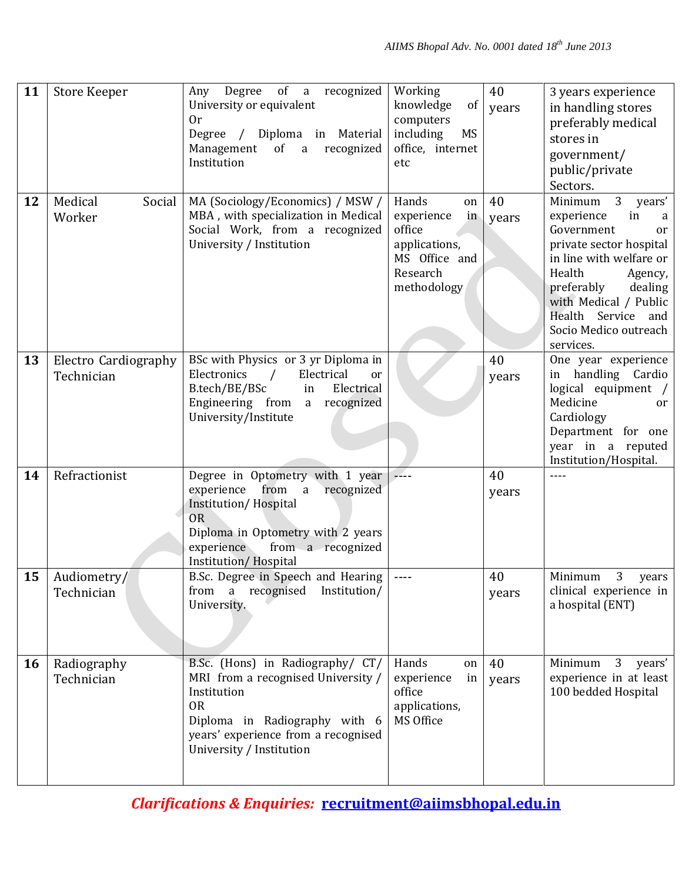| 11        | <b>Store Keeper</b>                | Any Degree of a recognized<br>University or equivalent<br>0r<br>Degree / Diploma in Material<br>Management<br>of a<br>recognized<br>Institution                                                            | Working<br>knowledge<br>of<br>computers<br>including<br>MS<br>office, internet<br>etc                  | 40<br>years | 3 years experience<br>in handling stores<br>preferably medical<br>stores in<br>government/<br>public/private<br>Sectors.                                                                                                                                                  |
|-----------|------------------------------------|------------------------------------------------------------------------------------------------------------------------------------------------------------------------------------------------------------|--------------------------------------------------------------------------------------------------------|-------------|---------------------------------------------------------------------------------------------------------------------------------------------------------------------------------------------------------------------------------------------------------------------------|
| 12        | Medical<br>Social<br>Worker        | MA (Sociology/Economics) / MSW /<br>MBA, with specialization in Medical<br>Social Work, from a recognized<br>University / Institution                                                                      | Hands<br>on<br>experience<br>in<br>office<br>applications,<br>MS Office and<br>Research<br>methodology | 40<br>years | 3 <sup>1</sup><br>Minimum<br>years'<br>experience<br>in<br>a<br>Government<br>or<br>private sector hospital<br>in line with welfare or<br>Health<br>Agency,<br>preferably<br>dealing<br>with Medical / Public<br>Health Service and<br>Socio Medico outreach<br>services. |
| 13        | Electro Cardiography<br>Technician | BSc with Physics or 3 yr Diploma in<br>Electronics<br>Electrical<br>$\sqrt{ }$<br>or<br>Electrical<br>B.tech/BE/BSc<br>in<br>Engineering from<br>a recognized<br>University/Institute                      |                                                                                                        | 40<br>years | One year experience<br>in handling Cardio<br>logical equipment /<br>Medicine<br><sub>or</sub><br>Cardiology<br>Department for one<br>year in a reputed<br>Institution/Hospital.                                                                                           |
| 14        | Refractionist                      | Degree in Optometry with 1 year<br>experience<br>from a<br>recognized<br>Institution/Hospital<br><b>OR</b><br>Diploma in Optometry with 2 years<br>from a recognized<br>experience<br>Institution/Hospital |                                                                                                        | 40<br>years |                                                                                                                                                                                                                                                                           |
| 15        | Audiometry/<br>Technician          | B.Sc. Degree in Speech and Hearing<br>from a recognised Institution/<br>University.                                                                                                                        | $\sim$ $\sim$ $\sim$                                                                                   | 40<br>years | 3<br>Minimum<br>years<br>clinical experience in<br>a hospital (ENT)                                                                                                                                                                                                       |
| <b>16</b> | Radiography<br>Technician          | B.Sc. (Hons) in Radiography/ CT/<br>MRI from a recognised University /<br>Institution<br><b>OR</b><br>Diploma in Radiography with 6<br>years' experience from a recognised<br>University / Institution     | Hands<br>on<br>experience<br>in<br>office<br>applications,<br>MS Office                                | 40<br>years | Minimum<br>3 <sup>1</sup><br>years'<br>experience in at least<br>100 bedded Hospital                                                                                                                                                                                      |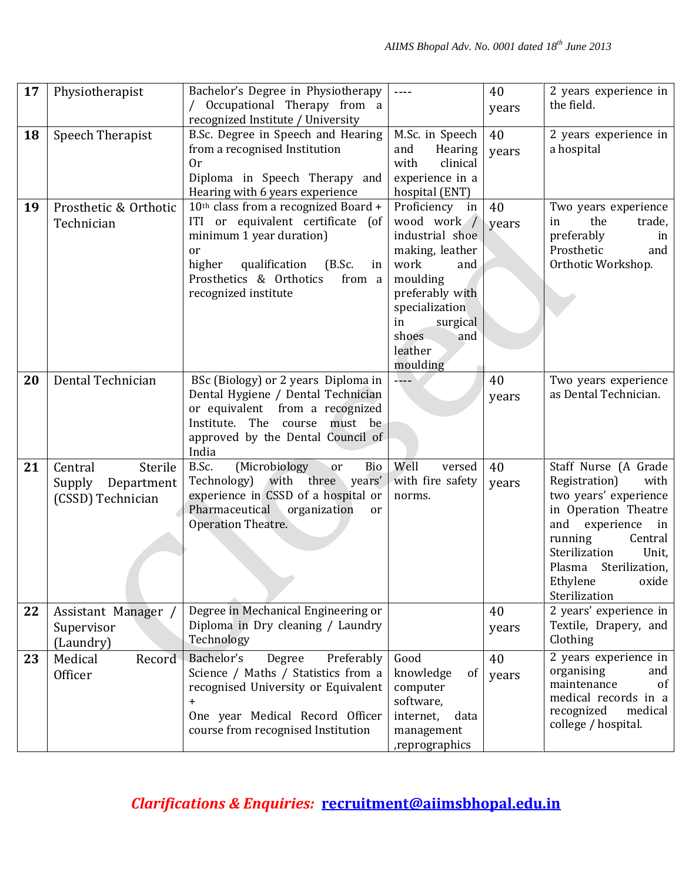| 17 | Physiotherapist                                                 | Bachelor's Degree in Physiotherapy<br>/ Occupational Therapy from a                                                                                                                                                            | $---$                                                                                                                                                                                        | 40<br>years | 2 years experience in<br>the field.                                                                                                                                                                                                         |
|----|-----------------------------------------------------------------|--------------------------------------------------------------------------------------------------------------------------------------------------------------------------------------------------------------------------------|----------------------------------------------------------------------------------------------------------------------------------------------------------------------------------------------|-------------|---------------------------------------------------------------------------------------------------------------------------------------------------------------------------------------------------------------------------------------------|
|    |                                                                 | recognized Institute / University                                                                                                                                                                                              |                                                                                                                                                                                              |             |                                                                                                                                                                                                                                             |
| 18 | Speech Therapist                                                | B.Sc. Degree in Speech and Hearing<br>from a recognised Institution<br>0r<br>Diploma in Speech Therapy and<br>Hearing with 6 years experience                                                                                  | M.Sc. in Speech<br>Hearing<br>and<br>with<br>clinical<br>experience in a<br>hospital (ENT)                                                                                                   | 40<br>years | 2 years experience in<br>a hospital                                                                                                                                                                                                         |
| 19 | Prosthetic & Orthotic<br>Technician                             | 10th class from a recognized Board +<br>ITI or equivalent certificate (of<br>minimum 1 year duration)<br><sub>or</sub><br>qualification<br>higher<br>(B.Sc.<br>in<br>Prosthetics & Orthotics<br>from a<br>recognized institute | Proficiency in<br>wood work /<br>industrial shoe<br>making, leather<br>work<br>and<br>moulding<br>preferably with<br>specialization<br>in<br>surgical<br>shoes<br>and<br>leather<br>moulding | 40<br>years | Two years experience<br>the<br>trade,<br>in<br>preferably<br>in<br>Prosthetic<br>and<br>Orthotic Workshop.                                                                                                                                  |
| 20 | Dental Technician                                               | BSc (Biology) or 2 years Diploma in<br>Dental Hygiene / Dental Technician<br>or equivalent from a recognized<br>Institute.<br>The<br>course<br>must be<br>approved by the Dental Council of<br>India                           | $\Delta$ <sub>-</sub> --                                                                                                                                                                     | 40<br>years | Two years experience<br>as Dental Technician.                                                                                                                                                                                               |
| 21 | Central<br>Sterile<br>Supply<br>Department<br>(CSSD) Technician | B.Sc.<br>(Microbiology<br>Bio<br>or<br>Technology) with three years'<br>experience in CSSD of a hospital or<br>Pharmaceutical<br>organization<br><sub>or</sub><br>Operation Theatre.                                           | Well<br>versed<br>with fire safety<br>norms.                                                                                                                                                 | 40<br>years | Staff Nurse (A Grade<br>Registration)<br>with<br>two years' experience<br>in Operation Theatre<br>and<br>experience<br>$\ln$<br>running<br>Central<br>Sterilization<br>Unit,<br>Plasma Sterilization,<br>Ethylene<br>oxide<br>Sterilization |
| 22 | Assistant Manager /<br>Supervisor<br>(Laundry)                  | Degree in Mechanical Engineering or<br>Diploma in Dry cleaning / Laundry<br>Technology                                                                                                                                         |                                                                                                                                                                                              | 40<br>years | 2 years' experience in<br>Textile, Drapery, and<br>Clothing                                                                                                                                                                                 |
| 23 | Medical<br>Record<br>Officer                                    | Bachelor's<br>Preferably<br>Degree<br>Science / Maths / Statistics from a<br>recognised University or Equivalent<br>$\ddot{}$<br>One year Medical Record Officer<br>course from recognised Institution                         | Good<br>knowledge<br>of<br>computer<br>software,<br>internet,<br>data<br>management<br>, reprographics                                                                                       | 40<br>years | 2 years experience in<br>organising<br>and<br>maintenance<br>of<br>medical records in a<br>recognized<br>medical<br>college / hospital.                                                                                                     |